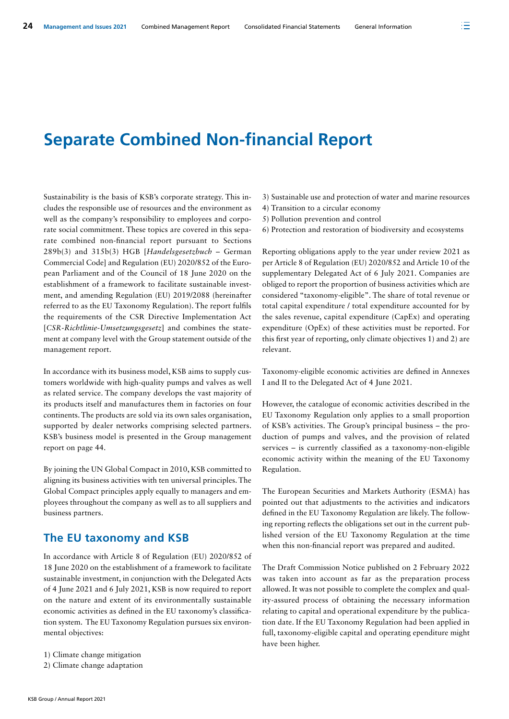# **Separate Combined Non-financial Report**

Sustainability is the basis of KSB's corporate strategy. This includes the responsible use of resources and the environment as well as the company's responsibility to employees and corporate social commitment. These topics are covered in this separate combined non-financial report pursuant to Sections 289b(3) and 315b(3) HGB [*Handelsgesetzbuch* – German Commercial Code] and Regulation (EU) 2020/852 of the European Parliament and of the Council of 18 June 2020 on the establishment of a framework to facilitate sustainable investment, and amending Regulation (EU) 2019/2088 (hereinafter referred to as the EU Taxonomy Regulation). The report fulfils the requirements of the CSR Directive Implementation Act [*CSR-Richtlinie-Umsetzungsgesetz*] and combines the statement at company level with the Group statement outside of the management report.

In accordance with its business model, KSB aims to supply customers worldwide with high-quality pumps and valves as well as related service. The company develops the vast majority of its products itself and manufactures them in factories on four continents. The products are sold via its own sales organisation, supported by dealer networks comprising selected partners. KSB's business model is presented in the Group management report on page 44.

By joining the UN Global Compact in 2010, KSB committed to aligning its business activities with ten universal principles. The Global Compact principles apply equally to managers and employees throughout the company as well as to all suppliers and business partners.

# **The EU taxonomy and KSB**

In accordance with Article 8 of Regulation (EU) 2020/852 of 18 June 2020 on the establishment of a framework to facilitate sustainable investment, in conjunction with the Delegated Acts of 4 June 2021 and 6 July 2021, KSB is now required to report on the nature and extent of its environmentally sustainable economic activities as defined in the EU taxonomy's classification system. The EU Taxonomy Regulation pursues six environmental objectives:

- 1) Climate change mitigation
- 2) Climate change adaptation
- 3) Sustainable use and protection of water and marine resources
- 4) Transition to a circular economy
- 5) Pollution prevention and control
- 6) Protection and restoration of biodiversity and ecosystems

Reporting obligations apply to the year under review 2021 as per Article 8 of Regulation (EU) 2020/852 and Article 10 of the supplementary Delegated Act of 6 July 2021. Companies are obliged to report the proportion of business activities which are considered "taxonomy-eligible". The share of total revenue or total capital expenditure / total expenditure accounted for by the sales revenue, capital expenditure (CapEx) and operating expenditure (OpEx) of these activities must be reported. For this first year of reporting, only climate objectives 1) and 2) are relevant.

Taxonomy-eligible economic activities are defined in Annexes I and II to the Delegated Act of 4 June 2021.

However, the catalogue of economic activities described in the EU Taxonomy Regulation only applies to a small proportion of KSB's activities. The Group's principal business – the production of pumps and valves, and the provision of related services – is currently classified as a taxonomy-non-eligible economic activity within the meaning of the EU Taxonomy Regulation.

The European Securities and Markets Authority (ESMA) has pointed out that adjustments to the activities and indicators defined in the EU Taxonomy Regulation are likely. The following reporting reflects the obligations set out in the current published version of the EU Taxonomy Regulation at the time when this non-financial report was prepared and audited.

The Draft Commission Notice published on 2 February 2022 was taken into account as far as the preparation process allowed. It was not possible to complete the complex and quality-assured process of obtaining the necessary information relating to capital and operational expenditure by the publication date. If the EU Taxonomy Regulation had been applied in full, taxonomy-eligible capital and operating ependiture might have been higher.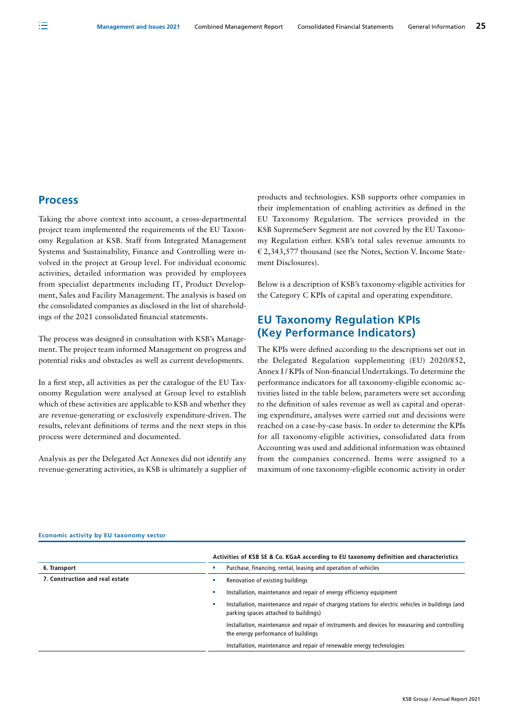### **Process**

Taking the above context into account, a cross-departmental project team implemented the requirements of the EU Taxonomy Regulation at KSB. Staff from Integrated Management Systems and Sustainability, Finance and Controlling were involved in the project at Group level. For individual economic activities, detailed information was provided by employees from specialist departments including IT, Product Development, Sales and Facility Management. The analysis is based on the consolidated companies as disclosed in the list of shareholdings of the 2021 consolidated financial statements.

The process was designed in consultation with KSB's Management. The project team informed Management on progress and potential risks and obstacles as well as current developments.

In a first step, all activities as per the catalogue of the EU Taxonomy Regulation were analysed at Group level to establish which of these activities are applicable to KSB and whether they are revenue-generating or exclusively expenditure-driven. The results, relevant definitions of terms and the next steps in this process were determined and documented.

Analysis as per the Delegated Act Annexes did not identify any revenue-generating activities, as KSB is ultimately a supplier of products and technologies. KSB supports other companies in their implementation of enabling activities as defined in the EU Taxonomy Regulation. The services provided in the KSB SupremeServ Segment are not covered by the EU Taxonomy Regulation either. KSB's total sales revenue amounts to € 2,343,577 thousand (see the Notes, Section V. Income Statement Disclosures).

Below is a description of KSB's taxonomy-eligible activities for the Category C KPIs of capital and operating expenditure.

# **EU Taxonomy Regulation KPIs (Key Performance Indicators)**

The KPIs were defined according to the descriptions set out in the Delegated Regulation supplementing (EU) 2020/852, Annex I / KPIs of Non-financial Undertakings. To determine the performance indicators for all taxonomy-eligible economic activities listed in the table below, parameters were set according to the definition of sales revenue as well as capital and operating expenditure, analyses were carried out and decisions were reached on a case-by-case basis. In order to determine the KPIs for all taxonomy-eligible activities, consolidated data from Accounting was used and additional information was obtained from the companies concerned. Items were assigned to a maximum of one taxonomy-eligible economic activity in order

|                                 | Activities of KSB SE & Co. KGaA according to EU taxonomy definition and characteristics                                                    |  |  |  |
|---------------------------------|--------------------------------------------------------------------------------------------------------------------------------------------|--|--|--|
| 6. Transport                    | Purchase, financing, rental, leasing and operation of vehicles                                                                             |  |  |  |
| 7. Construction and real estate | Renovation of existing buildings                                                                                                           |  |  |  |
|                                 | Installation, maintenance and repair of energy efficiency equipment                                                                        |  |  |  |
|                                 | Installation, maintenance and repair of charging stations for electric vehicles in buildings (and<br>parking spaces attached to buildings) |  |  |  |
|                                 | Installation, maintenance and repair of instruments and devices for measuring and controlling<br>the energy performance of buildings       |  |  |  |
|                                 | Installation, maintenance and repair of renewable energy technologies                                                                      |  |  |  |

#### **Economic activity by EU taxonomy sector**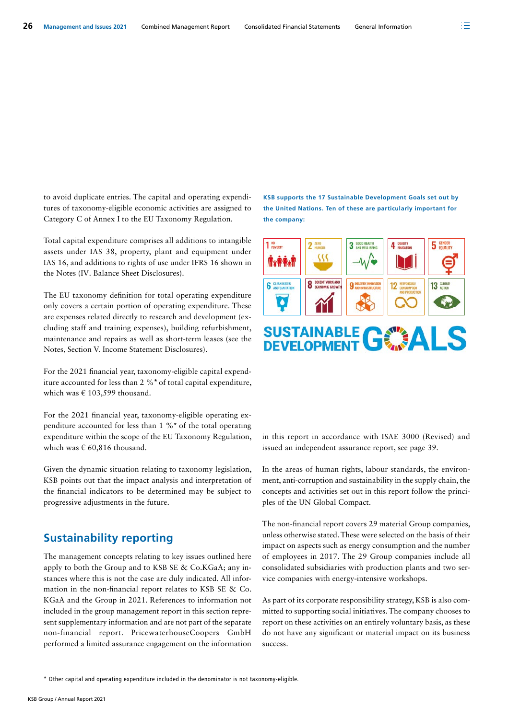to avoid duplicate entries. The capital and operating expenditures of taxonomy-eligible economic activities are assigned to Category C of Annex I to the EU Taxonomy Regulation.

Total capital expenditure comprises all additions to intangible assets under IAS 38, property, plant and equipment under IAS 16, and additions to rights of use under IFRS 16 shown in the Notes (IV. Balance Sheet Disclosures).

The EU taxonomy definition for total operating expenditure only covers a certain portion of operating expenditure. These are expenses related directly to research and development (excluding staff and training expenses), building refurbishment, maintenance and repairs as well as short-term leases (see the Notes, Section V. Income Statement Disclosures).

For the 2021 financial year, taxonomy-eligible capital expenditure accounted for less than 2 %**\*** of total capital expenditure, which was € 103,599 thousand.

For the 2021 financial year, taxonomy-eligible operating expenditure accounted for less than 1 %**\*** of the total operating expenditure within the scope of the EU Taxonomy Regulation, which was  $\in$  60,816 thousand.

Given the dynamic situation relating to taxonomy legislation, KSB points out that the impact analysis and interpretation of the financial indicators to be determined may be subject to progressive adjustments in the future.

# **Sustainability reporting**

The management concepts relating to key issues outlined here apply to both the Group and to KSB SE & Co.KGaA; any instances where this is not the case are duly indicated. All information in the non-financial report relates to KSB SE & Co. KGaA and the Group in 2021. References to information not included in the group management report in this section represent supplementary information and are not part of the separate non-financial report. PricewaterhouseCoopers GmbH performed a limited assurance engagement on the information

**KSB supports the 17 Sustainable Development Goals set out by the United Nations. Ten of these are particularly important for the company:**



# **SUSTAINABLE GOMENT**

in this report in accordance with ISAE 3000 (Revised) and issued an independent assurance report, see page 39.

In the areas of human rights, labour standards, the environment, anti-corruption and sustainability in the supply chain, the concepts and activities set out in this report follow the principles of the UN Global Compact.

The non-financial report covers 29 material Group companies, unless otherwise stated. These were selected on the basis of their impact on aspects such as energy consumption and the number of employees in 2017. The 29 Group companies include all consolidated subsidiaries with production plants and two service companies with energy-intensive workshops.

As part of its corporate responsibility strategy, KSB is also committed to supporting social initiatives. The company chooses to report on these activities on an entirely voluntary basis, as these do not have any significant or material impact on its business success.

\* Other capital and operating expenditure included in the denominator is not taxonomy-eligible.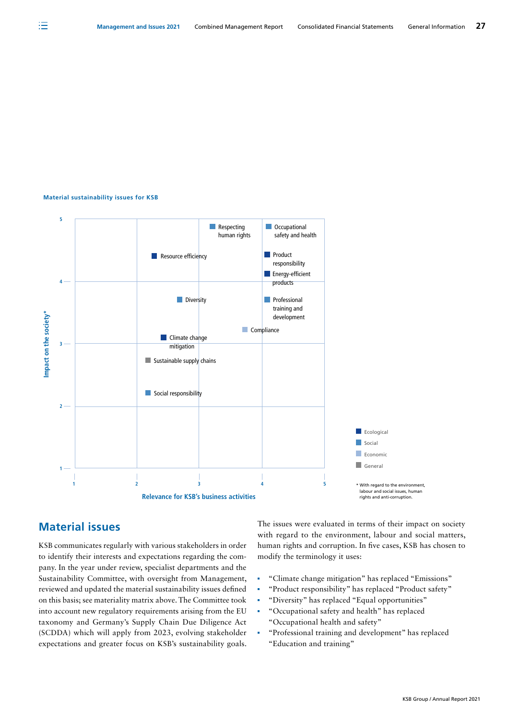#### **Material sustainability issues for KSB**



# **Material issues**

KSB communicates regularly with various stakeholders in order to identify their interests and expectations regarding the company. In the year under review, specialist departments and the Sustainability Committee, with oversight from Management, reviewed and updated the material sustainability issues defined on this basis; see materiality matrix above. The Committee took into account new regulatory requirements arising from the EU taxonomy and Germany's Supply Chain Due Diligence Act (SCDDA) which will apply from 2023, evolving stakeholder expectations and greater focus on KSB's sustainability goals.

The issues were evaluated in terms of their impact on society with regard to the environment, labour and social matters, human rights and corruption. In five cases, KSB has chosen to modify the terminology it uses:

- "Climate change mitigation" has replaced "Emissions"
- "Product responsibility" has replaced "Product safety"
- "Diversity" has replaced "Equal opportunities"
- "Occupational safety and health" has replaced "Occupational health and safety"
- "Professional training and development" has replaced "Education and training"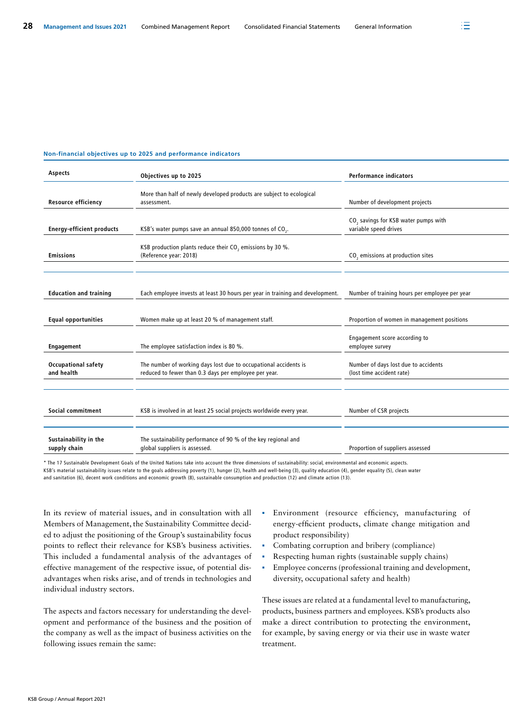#### **Non-financial objectives up to 2025 and performance indicators**

| Aspects                                  | Objectives up to 2025                                                                                                     | <b>Performance indicators</b>                                             |
|------------------------------------------|---------------------------------------------------------------------------------------------------------------------------|---------------------------------------------------------------------------|
| <b>Resource efficiency</b>               | More than half of newly developed products are subject to ecological<br>assessment.                                       | Number of development projects                                            |
| <b>Energy-efficient products</b>         | KSB's water pumps save an annual 850,000 tonnes of CO <sub>2</sub> .                                                      | CO <sub>2</sub> savings for KSB water pumps with<br>variable speed drives |
| <b>Emissions</b>                         | KSB production plants reduce their CO <sub>2</sub> emissions by 30 %.<br>(Reference year: 2018)                           | CO <sub>2</sub> emissions at production sites                             |
| <b>Education and training</b>            | Each employee invests at least 30 hours per year in training and development.                                             | Number of training hours per employee per year                            |
| <b>Equal opportunities</b>               | Women make up at least 20 % of management staff.                                                                          | Proportion of women in management positions                               |
| <b>Engagement</b>                        | The employee satisfaction index is 80 %.                                                                                  | Engagement score according to<br>employee survey                          |
| <b>Occupational safety</b><br>and health | The number of working days lost due to occupational accidents is<br>reduced to fewer than 0.3 days per employee per year. | Number of days lost due to accidents<br>(lost time accident rate)         |
|                                          |                                                                                                                           |                                                                           |
| Social commitment                        | KSB is involved in at least 25 social projects worldwide every year.                                                      | Number of CSR projects                                                    |
| Sustainability in the<br>supply chain    | The sustainability performance of 90 % of the key regional and<br>global suppliers is assessed.                           | Proportion of suppliers assessed                                          |

\* The 17 Sustainable Development Goals of the United Nations take into account the three dimensions of sustainability: social, environmental and economic aspects. KSB's material sustainability issues relate to the goals addressing poverty (1), hunger (2), health and well-being (3), quality education (4), gender equality (5), clean water and sanitation (6), decent work conditions and economic growth (8), sustainable consumption and production (12) and climate action (13).

In its review of material issues, and in consultation with all Members of Management, the Sustainability Committee decided to adjust the positioning of the Group's sustainability focus points to reflect their relevance for KSB's business activities. This included a fundamental analysis of the advantages of effective management of the respective issue, of potential disadvantages when risks arise, and of trends in technologies and individual industry sectors.

The aspects and factors necessary for understanding the development and performance of the business and the position of the company as well as the impact of business activities on the following issues remain the same:

- Environment (resource efficiency, manufacturing of energy-efficient products, climate change mitigation and product responsibility)
- Combating corruption and bribery (compliance)
- Respecting human rights (sustainable supply chains)
- **Employee concerns (professional training and development,** diversity, occupational safety and health)

These issues are related at a fundamental level to manufacturing, products, business partners and employees. KSB's products also make a direct contribution to protecting the environment, for example, by saving energy or via their use in waste water treatment.

注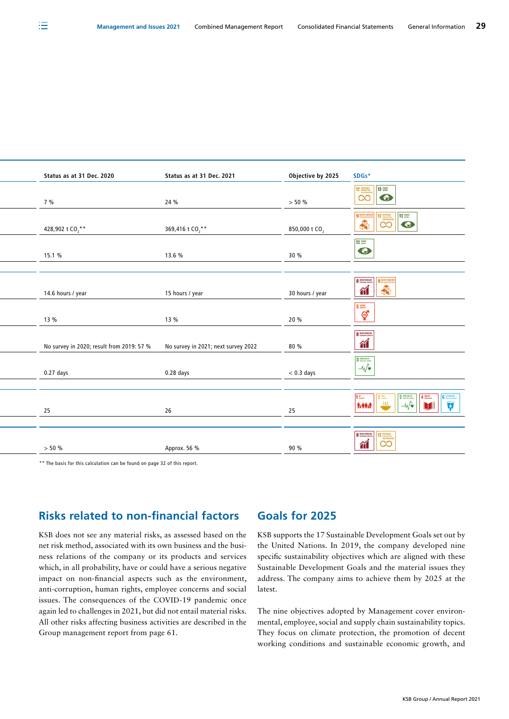| Status as at 31 Dec. 2020                 | Status as at 31 Dec. 2021           | Objective by 2025         | SDGs*                                                                                                                                                                                                                                                                                                                                                                                                                         |
|-------------------------------------------|-------------------------------------|---------------------------|-------------------------------------------------------------------------------------------------------------------------------------------------------------------------------------------------------------------------------------------------------------------------------------------------------------------------------------------------------------------------------------------------------------------------------|
| 7%                                        | 24 %                                | $> 50 \%$                 | $\frac{12}{100}$ $\frac{13}{100}$                                                                                                                                                                                                                                                                                                                                                                                             |
| 428,902 t CO <sub>2</sub> **              | 369,416 t CO <sub>2</sub> **        | 850,000 t CO <sub>2</sub> | $\begin{array}{ c c c }\hline \textbf{1} & \textbf{1} & \textbf{1} & \textbf{1} & \textbf{1} & \textbf{1} & \textbf{1} & \textbf{1} & \textbf{1} & \textbf{1} & \textbf{1} & \textbf{1} & \textbf{1} & \textbf{1} & \textbf{1} & \textbf{1} & \textbf{1} & \textbf{1} & \textbf{1} & \textbf{1} & \textbf{1} & \textbf{1} & \textbf{1} & \textbf{1} & \textbf{1} & \textbf{1} & \textbf{1} & \textbf{1} & \textbf{1} & \text$ |
| 15.1 %                                    | 13.6 %                              | 30 %                      | $\begin{array}{c}\n 13 \\ \bullet\n \end{array}$                                                                                                                                                                                                                                                                                                                                                                              |
|                                           |                                     |                           |                                                                                                                                                                                                                                                                                                                                                                                                                               |
| 14.6 hours / year                         | 15 hours / year                     | 30 hours / year           | $\frac{1}{\pi}$                                                                                                                                                                                                                                                                                                                                                                                                               |
| 13 %                                      | 13 %                                | 20 %                      | $rac{5}{9}$                                                                                                                                                                                                                                                                                                                                                                                                                   |
| No survey in 2020; result from 2019: 57 % | No survey in 2021; next survey 2022 | 80 %                      | $8 \frac{\text{mucens} \text{cm}}{\text{moscans}}$<br>衜                                                                                                                                                                                                                                                                                                                                                                       |
| $0.27$ days                               | 0.28 days                           | $< 0.3$ days              | 3 <sup>mm</sup><br>$-\sqrt{\bullet}$                                                                                                                                                                                                                                                                                                                                                                                          |
|                                           |                                     |                           |                                                                                                                                                                                                                                                                                                                                                                                                                               |
| 25                                        | 26                                  | 25                        | 15<br>Avenue<br>$\begin{array}{ c c c c }\hline \textbf{3} & \textbf{4} & \textbf{5} & \textbf{6} & \textbf{6} \\ \hline \textbf{1} & \textbf{1} & \textbf{1} & \textbf{1} & \textbf{1} \\ \hline \textbf{2} & \textbf{1} & \textbf{2} & \textbf{1} & \textbf{1} & \textbf{1} \\ \hline \end{array}$<br>$\frac{2\pi}{30}$                                                                                                     |
|                                           |                                     |                           |                                                                                                                                                                                                                                                                                                                                                                                                                               |
| $> 50 \%$                                 | Approx. 56 %                        | 90 %                      | $\frac{1}{\pi}$ $\frac{1}{\pi}$                                                                                                                                                                                                                                                                                                                                                                                               |
|                                           |                                     |                           |                                                                                                                                                                                                                                                                                                                                                                                                                               |

\*\* The basis for this calculation can be found on page 32 of this report.

# **Risks related to non-financial factors**

KSB does not see any material risks, as assessed based on the net risk method, associated with its own business and the business relations of the company or its products and services which, in all probability, have or could have a serious negative impact on non-financial aspects such as the environment, anti-corruption, human rights, employee concerns and social issues. The consequences of the COVID-19 pandemic once again led to challenges in 2021, but did not entail material risks. All other risks affecting business activities are described in the Group management report from page 61.

#### **Goals for 2025**

KSB supports the 17 Sustainable Development Goals set out by the United Nations. In 2019, the company developed nine specific sustainability objectives which are aligned with these Sustainable Development Goals and the material issues they address. The company aims to achieve them by 2025 at the latest.

The nine objectives adopted by Management cover environmental, employee, social and supply chain sustainability topics. They focus on climate protection, the promotion of decent working conditions and sustainable economic growth, and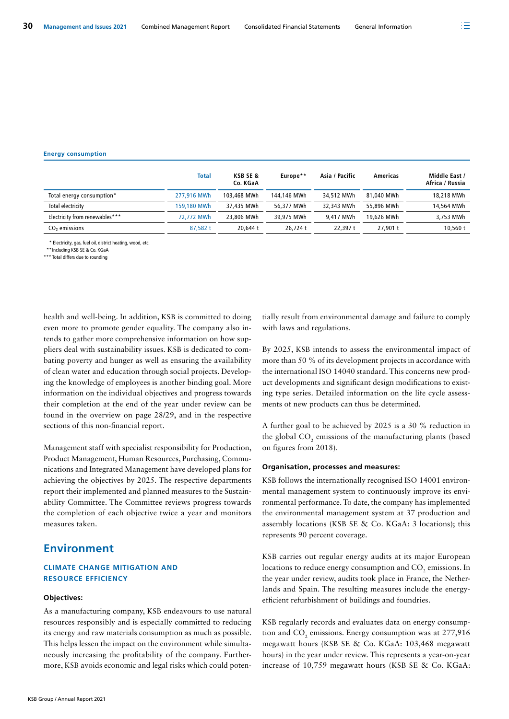#### **Energy consumption**

|                                | Total       | <b>KSB SE &amp;</b><br>Co. KGaA | Europe**    | Asia / Pacific | Americas   | Middle East /<br>Africa / Russia |
|--------------------------------|-------------|---------------------------------|-------------|----------------|------------|----------------------------------|
| Total energy consumption*      | 277.916 MWh | 103,468 MWh                     | 144,146 MWh | 34,512 MWh     | 81,040 MWh | 18,218 MWh                       |
| Total electricity              | 159,180 MWh | 37,435 MWh                      | 56.377 MWh  | 32,343 MWh     | 55,896 MWh | 14,564 MWh                       |
| Electricity from renewables*** | 72.772 MWh  | 23,806 MWh                      | 39.975 MWh  | 9.417 MWh      | 19,626 MWh | 3,753 MWh                        |
| CO <sub>2</sub> emissions      | 87.582 t    | 20,644 t                        | 26.724 t    | 22.397 t       | 27.901 t   | 10.560t                          |

\* Electricity, gas, fuel oil, district heating, wood, etc.

\*\*Including KSB SE & Co. KGaA

\*\*\* Total differs due to rounding

health and well-being. In addition, KSB is committed to doing even more to promote gender equality. The company also intends to gather more comprehensive information on how suppliers deal with sustainability issues. KSB is dedicated to combating poverty and hunger as well as ensuring the availability of clean water and education through social projects. Developing the knowledge of employees is another binding goal. More information on the individual objectives and progress towards their completion at the end of the year under review can be found in the overview on page 28/29, and in the respective sections of this non-financial report.

Management staff with specialist responsibility for Production, Product Management, Human Resources, Purchasing, Communications and Integrated Management have developed plans for achieving the objectives by 2025. The respective departments report their implemented and planned measures to the Sustainability Committee. The Committee reviews progress towards the completion of each objective twice a year and monitors measures taken.

## **Environment**

#### **CLIMATE CHANGE MITIGATION AND RESOURCE EFFICIENCY**

#### **Objectives:**

As a manufacturing company, KSB endeavours to use natural resources responsibly and is especially committed to reducing its energy and raw materials consumption as much as possible. This helps lessen the impact on the environment while simultaneously increasing the profitability of the company. Furthermore, KSB avoids economic and legal risks which could potentially result from environmental damage and failure to comply with laws and regulations.

By 2025, KSB intends to assess the environmental impact of more than 50 % of its development projects in accordance with the international ISO 14040 standard. This concerns new product developments and significant design modifications to existing type series. Detailed information on the life cycle assessments of new products can thus be determined.

A further goal to be achieved by 2025 is a 30 % reduction in the global  $CO_2$  emissions of the manufacturing plants (based on figures from 2018).

#### **Organisation, processes and measures:**

KSB follows the internationally recognised ISO 14001 environmental management system to continuously improve its environmental performance. To date, the company has implemented the environmental management system at 37 production and assembly locations (KSB SE & Co. KGaA: 3 locations); this represents 90 percent coverage.

KSB carries out regular energy audits at its major European locations to reduce energy consumption and  $\mathrm{CO}_2$  emissions. In the year under review, audits took place in France, the Netherlands and Spain. The resulting measures include the energyefficient refurbishment of buildings and foundries.

KSB regularly records and evaluates data on energy consumption and  $CO_2$  emissions. Energy consumption was at 277,916 megawatt hours (KSB SE & Co. KGaA: 103,468 megawatt hours) in the year under review. This represents a year-on-year increase of 10,759 megawatt hours (KSB SE & Co. KGaA: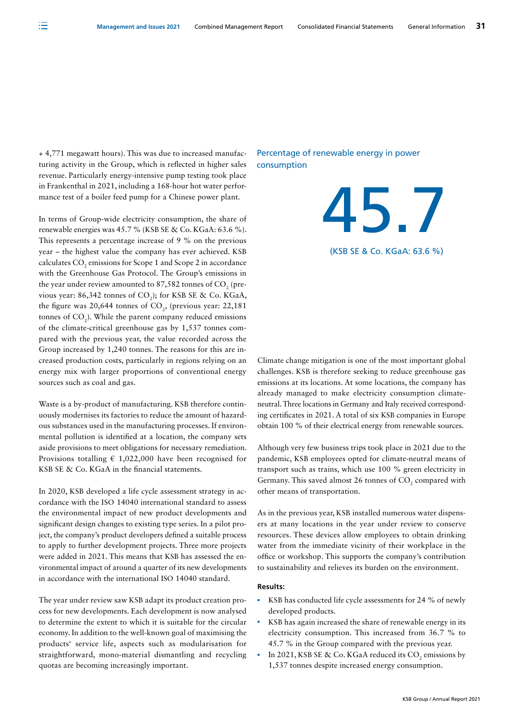+ 4,771 megawatt hours). This was due to increased manufacturing activity in the Group, which is reflected in higher sales revenue. Particularly energy-intensive pump testing took place in Frankenthal in 2021, including a 168-hour hot water performance test of a boiler feed pump for a Chinese power plant.

In terms of Group-wide electricity consumption, the share of renewable energies was 45.7 % (KSB SE & Co. KGaA: 63.6 %). This represents a percentage increase of 9 % on the previous year – the highest value the company has ever achieved. KSB calculates  $\mathrm{CO}_2$  emissions for Scope 1 and Scope 2 in accordance with the Greenhouse Gas Protocol. The Group's emissions in the year under review amounted to 87,582 tonnes of CO<sub>2</sub> (previous year: 86,342 tonnes of  $CO_2$ ); for KSB SE & Co. KGaA, the figure was  $20,644$  tonnes of  $CO<sub>2</sub>$ , (previous year: 22,181 tonnes of  $CO<sub>2</sub>$ ). While the parent company reduced emissions of the climate-critical greenhouse gas by 1,537 tonnes compared with the previous year, the value recorded across the Group increased by 1,240 tonnes. The reasons for this are increased production costs, particularly in regions relying on an energy mix with larger proportions of conventional energy sources such as coal and gas.

Waste is a by-product of manufacturing. KSB therefore continuously modernises its factories to reduce the amount of hazardous substances used in the manufacturing processes. If environmental pollution is identified at a location, the company sets aside provisions to meet obligations for necessary remediation. Provisions totalling  $\in 1,022,000$  have been recognised for KSB SE & Co. KGaA in the financial statements.

In 2020, KSB developed a life cycle assessment strategy in accordance with the ISO 14040 international standard to assess the environmental impact of new product developments and significant design changes to existing type series. In a pilot project, the company's product developers defined a suitable process to apply to further development projects. Three more projects were added in 2021. This means that KSB has assessed the environmental impact of around a quarter of its new developments in accordance with the international ISO 14040 standard.

The year under review saw KSB adapt its product creation process for new developments. Each development is now analysed to determine the extent to which it is suitable for the circular economy. In addition to the well-known goal of maximising the products' service life, aspects such as modularisation for straightforward, mono-material dismantling and recycling quotas are becoming increasingly important.

#### Percentage of renewable energy in power consumption

Climate change mitigation is one of the most important global challenges. KSB is therefore seeking to reduce greenhouse gas emissions at its locations. At some locations, the company has already managed to make electricity consumption climateneutral. Three locations in Germany and Italy received corresponding certificates in 2021. A total of six KSB companies in Europe obtain 100 % of their electrical energy from renewable sources.

(KSB SE & Co. KGaA: 63.6 %)

45.7

Although very few business trips took place in 2021 due to the pandemic, KSB employees opted for climate-neutral means of transport such as trains, which use 100 % green electricity in Germany. This saved almost 26 tonnes of  $\mathrm{CO}_2$  compared with other means of transportation.

As in the previous year, KSB installed numerous water dispensers at many locations in the year under review to conserve resources. These devices allow employees to obtain drinking water from the immediate vicinity of their workplace in the office or workshop. This supports the company's contribution to sustainability and relieves its burden on the environment.

#### **Results:**

- KSB has conducted life cycle assessments for 24 % of newly developed products.
- KSB has again increased the share of renewable energy in its electricity consumption. This increased from 36.7 % to 45.7 % in the Group compared with the previous year.
- In 2021, KSB SE & Co. KGaA reduced its  $\text{CO}_2$  emissions by 1,537 tonnes despite increased energy consumption.

注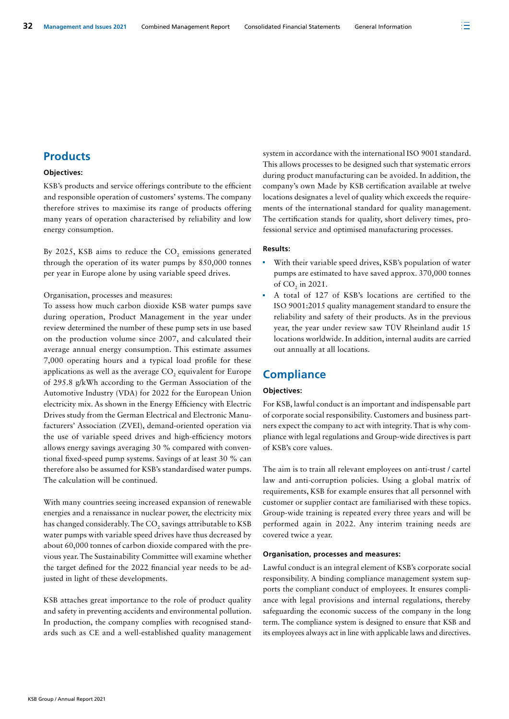# **Products**

#### **Objectives:**

KSB's products and service offerings contribute to the efficient and responsible operation of customers' systems. The company therefore strives to maximise its range of products offering many years of operation characterised by reliability and low energy consumption.

By 2025, KSB aims to reduce the  $CO_2$  emissions generated through the operation of its water pumps by 850,000 tonnes per year in Europe alone by using variable speed drives.

#### Organisation, processes and measures:

To assess how much carbon dioxide KSB water pumps save during operation, Product Management in the year under review determined the number of these pump sets in use based on the production volume since 2007, and calculated their average annual energy consumption. This estimate assumes 7,000 operating hours and a typical load profile for these applications as well as the average  $\mathrm{CO}_2$  equivalent for Europe of 295.8 g/kWh according to the German Association of the Automotive Industry (VDA) for 2022 for the European Union electricity mix. As shown in the Energy Efficiency with Electric Drives study from the German Electrical and Electronic Manufacturers' Association (ZVEI), demand-oriented operation via the use of variable speed drives and high-efficiency motors allows energy savings averaging 30 % compared with conventional fixed-speed pump systems. Savings of at least 30 % can therefore also be assumed for KSB's standardised water pumps. The calculation will be continued.

With many countries seeing increased expansion of renewable energies and a renaissance in nuclear power, the electricity mix has changed considerably. The CO<sub>2</sub> savings attributable to KSB water pumps with variable speed drives have thus decreased by about 60,000 tonnes of carbon dioxide compared with the previous year. The Sustainability Committee will examine whether the target defined for the 2022 financial year needs to be adjusted in light of these developments.

KSB attaches great importance to the role of product quality and safety in preventing accidents and environmental pollution. In production, the company complies with recognised standards such as CE and a well-established quality management system in accordance with the international ISO 9001 standard. This allows processes to be designed such that systematic errors during product manufacturing can be avoided. In addition, the company's own Made by KSB certification available at twelve locations designates a level of quality which exceeds the requirements of the international standard for quality management. The certification stands for quality, short delivery times, professional service and optimised manufacturing processes.

#### **Results:**

- With their variable speed drives, KSB's population of water pumps are estimated to have saved approx. 370,000 tonnes of  $CO<sub>2</sub>$  in 2021.
- A total of 127 of KSB's locations are certified to the ISO 9001:2015 quality management standard to ensure the reliability and safety of their products. As in the previous year, the year under review saw TÜV Rheinland audit 15 locations worldwide. In addition, internal audits are carried out annually at all locations.

# **Compliance**

#### **Objectives:**

For KSB, lawful conduct is an important and indispensable part of corporate social responsibility. Customers and business partners expect the company to act with integrity. That is why compliance with legal regulations and Group-wide directives is part of KSB's core values.

The aim is to train all relevant employees on anti-trust / cartel law and anti-corruption policies. Using a global matrix of requirements, KSB for example ensures that all personnel with customer or supplier contact are familiarised with these topics. Group-wide training is repeated every three years and will be performed again in 2022. Any interim training needs are covered twice a year.

#### **Organisation, processes and measures:**

Lawful conduct is an integral element of KSB's corporate social responsibility. A binding compliance management system supports the compliant conduct of employees. It ensures compliance with legal provisions and internal regulations, thereby safeguarding the economic success of the company in the long term. The compliance system is designed to ensure that KSB and its employees always act in line with applicable laws and directives.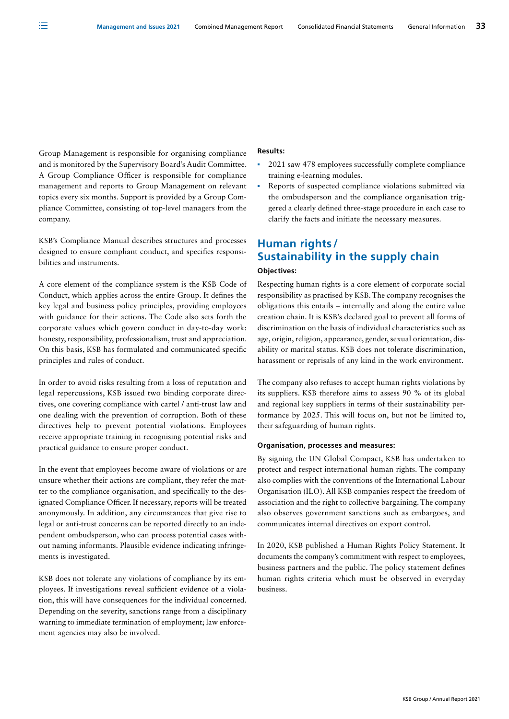Group Management is responsible for organising compliance and is monitored by the Supervisory Board's Audit Committee. A Group Compliance Officer is responsible for compliance management and reports to Group Management on relevant topics every six months. Support is provided by a Group Compliance Committee, consisting of top-level managers from the company.

注

KSB's Compliance Manual describes structures and processes designed to ensure compliant conduct, and specifies responsibilities and instruments.

A core element of the compliance system is the KSB Code of Conduct, which applies across the entire Group. It defines the key legal and business policy principles, providing employees with guidance for their actions. The Code also sets forth the corporate values which govern conduct in day-to-day work: honesty, responsibility, professionalism, trust and appreciation. On this basis, KSB has formulated and communicated specific principles and rules of conduct.

In order to avoid risks resulting from a loss of reputation and legal repercussions, KSB issued two binding corporate directives, one covering compliance with cartel / anti-trust law and one dealing with the prevention of corruption. Both of these directives help to prevent potential violations. Employees receive appropriate training in recognising potential risks and practical guidance to ensure proper conduct.

In the event that employees become aware of violations or are unsure whether their actions are compliant, they refer the matter to the compliance organisation, and specifically to the designated Compliance Officer. If necessary, reports will be treated anonymously. In addition, any circumstances that give rise to legal or anti-trust concerns can be reported directly to an independent ombudsperson, who can process potential cases without naming informants. Plausible evidence indicating infringements is investigated.

KSB does not tolerate any violations of compliance by its employees. If investigations reveal sufficient evidence of a violation, this will have consequences for the individual concerned. Depending on the severity, sanctions range from a disciplinary warning to immediate termination of employment; law enforcement agencies may also be involved.

#### **Results:**

- <sup>2021</sup> saw 478 employees successfully complete compliance training e-learning modules.
- Reports of suspected compliance violations submitted via the ombudsperson and the compliance organisation triggered a clearly defined three-stage procedure in each case to clarify the facts and initiate the necessary measures.

# **Human rights / Sustainability in the supply chain**

#### **Objectives:**

Respecting human rights is a core element of corporate social responsibility as practised by KSB. The company recognises the obligations this entails – internally and along the entire value creation chain. It is KSB's declared goal to prevent all forms of discrimination on the basis of individual characteristics such as age, origin, religion, appearance, gender, sexual orientation, disability or marital status. KSB does not tolerate discrimination, harassment or reprisals of any kind in the work environment.

The company also refuses to accept human rights violations by its suppliers. KSB therefore aims to assess 90 % of its global and regional key suppliers in terms of their sustainability performance by 2025. This will focus on, but not be limited to, their safeguarding of human rights.

#### **Organisation, processes and measures:**

By signing the UN Global Compact, KSB has undertaken to protect and respect international human rights. The company also complies with the conventions of the International Labour Organisation (ILO). All KSB companies respect the freedom of association and the right to collective bargaining. The company also observes government sanctions such as embargoes, and communicates internal directives on export control.

In 2020, KSB published a Human Rights Policy Statement. It documents the company's commitment with respect to employees, business partners and the public. The policy statement defines human rights criteria which must be observed in everyday business.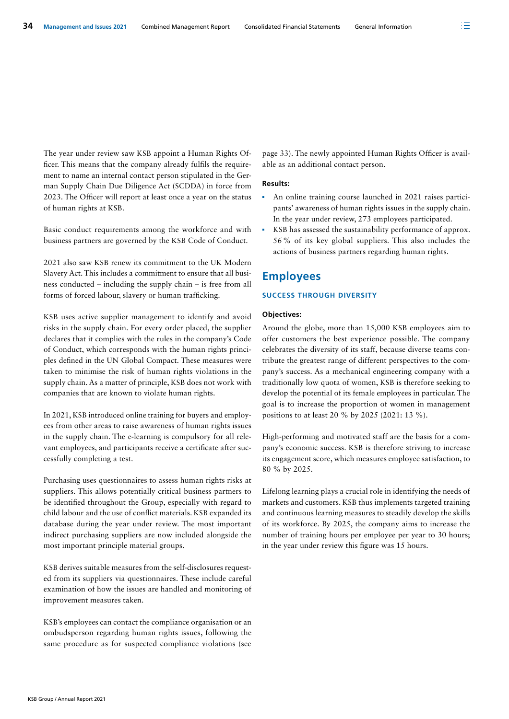The year under review saw KSB appoint a Human Rights Officer. This means that the company already fulfils the requirement to name an internal contact person stipulated in the German Supply Chain Due Diligence Act (SCDDA) in force from 2023. The Officer will report at least once a year on the status of human rights at KSB.

Basic conduct requirements among the workforce and with business partners are governed by the KSB Code of Conduct.

2021 also saw KSB renew its commitment to the UK Modern Slavery Act. This includes a commitment to ensure that all business conducted – including the supply chain – is free from all forms of forced labour, slavery or human trafficking.

KSB uses active supplier management to identify and avoid risks in the supply chain. For every order placed, the supplier declares that it complies with the rules in the company's Code of Conduct, which corresponds with the human rights principles defined in the UN Global Compact. These measures were taken to minimise the risk of human rights violations in the supply chain. As a matter of principle, KSB does not work with companies that are known to violate human rights.

In 2021, KSB introduced online training for buyers and employees from other areas to raise awareness of human rights issues in the supply chain. The e-learning is compulsory for all relevant employees, and participants receive a certificate after successfully completing a test.

Purchasing uses questionnaires to assess human rights risks at suppliers. This allows potentially critical business partners to be identified throughout the Group, especially with regard to child labour and the use of conflict materials. KSB expanded its database during the year under review. The most important indirect purchasing suppliers are now included alongside the most important principle material groups.

KSB derives suitable measures from the self-disclosures requested from its suppliers via questionnaires. These include careful examination of how the issues are handled and monitoring of improvement measures taken.

KSB's employees can contact the compliance organisation or an ombudsperson regarding human rights issues, following the same procedure as for suspected compliance violations (see page 33). The newly appointed Human Rights Officer is available as an additional contact person.

#### **Results:**

- An online training course launched in 2021 raises participants' awareness of human rights issues in the supply chain. In the year under review, 273 employees participated.
- KSB has assessed the sustainability performance of approx. 56% of its key global suppliers. This also includes the actions of business partners regarding human rights.

# **Employees**

#### **SUCCESS THROUGH DIVERSITY**

#### **Objectives:**

Around the globe, more than 15,000 KSB employees aim to offer customers the best experience possible. The company celebrates the diversity of its staff, because diverse teams contribute the greatest range of different perspectives to the company's success. As a mechanical engineering company with a traditionally low quota of women, KSB is therefore seeking to develop the potential of its female employees in particular. The goal is to increase the proportion of women in management positions to at least 20 % by 2025 (2021: 13 %).

High-performing and motivated staff are the basis for a company's economic success. KSB is therefore striving to increase its engagement score, which measures employee satisfaction, to 80 % by 2025.

Lifelong learning plays a crucial role in identifying the needs of markets and customers. KSB thus implements targeted training and continuous learning measures to steadily develop the skills of its workforce. By 2025, the company aims to increase the number of training hours per employee per year to 30 hours; in the year under review this figure was 15 hours.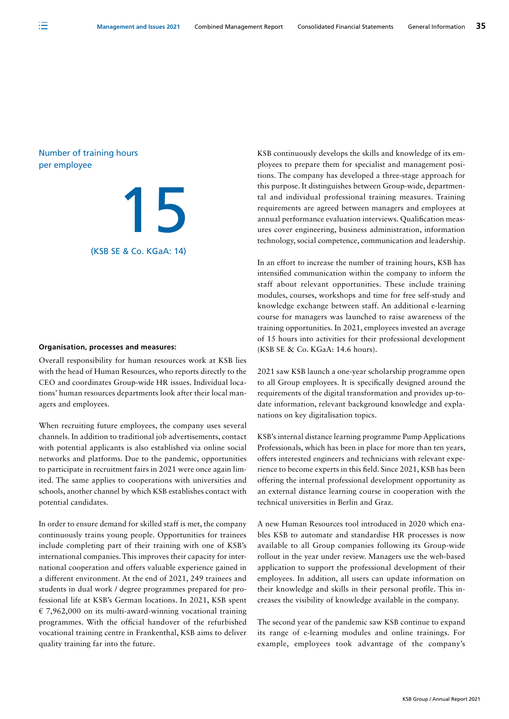#### Number of training hours per employee

注



#### **Organisation, processes and measures:**

Overall responsibility for human resources work at KSB lies with the head of Human Resources, who reports directly to the CEO and coordinates Group-wide HR issues. Individual locations' human resources departments look after their local managers and employees.

When recruiting future employees, the company uses several channels. In addition to traditional job advertisements, contact with potential applicants is also established via online social networks and platforms. Due to the pandemic, opportunities to participate in recruitment fairs in 2021 were once again limited. The same applies to cooperations with universities and schools, another channel by which KSB establishes contact with potential candidates.

In order to ensure demand for skilled staff is met, the company continuously trains young people. Opportunities for trainees include completing part of their training with one of KSB's international companies. This improves their capacity for international cooperation and offers valuable experience gained in a different environment. At the end of 2021, 249 trainees and students in dual work / degree programmes prepared for professional life at KSB's German locations. In 2021, KSB spent € 7,962,000 on its multi-award-winning vocational training programmes. With the official handover of the refurbished vocational training centre in Frankenthal, KSB aims to deliver quality training far into the future.

KSB continuously develops the skills and knowledge of its employees to prepare them for specialist and management positions. The company has developed a three-stage approach for this purpose. It distinguishes between Group-wide, departmental and individual professional training measures. Training requirements are agreed between managers and employees at annual performance evaluation interviews. Qualification measures cover engineering, business administration, information technology, social competence, communication and leadership.

In an effort to increase the number of training hours, KSB has intensified communication within the company to inform the staff about relevant opportunities. These include training modules, courses, workshops and time for free self-study and knowledge exchange between staff. An additional e-learning course for managers was launched to raise awareness of the training opportunities. In 2021, employees invested an average of 15 hours into activities for their professional development (KSB SE & Co. KGaA: 14.6 hours).

2021 saw KSB launch a one-year scholarship programme open to all Group employees. It is specifically designed around the requirements of the digital transformation and provides up-todate information, relevant background knowledge and explanations on key digitalisation topics.

KSB's internal distance learning programme Pump Applications Professionals, which has been in place for more than ten years, offers interested engineers and technicians with relevant experience to become experts in this field. Since 2021, KSB has been offering the internal professional development opportunity as an external distance learning course in cooperation with the technical universities in Berlin and Graz.

A new Human Resources tool introduced in 2020 which enables KSB to automate and standardise HR processes is now available to all Group companies following its Group-wide rollout in the year under review. Managers use the web-based application to support the professional development of their employees. In addition, all users can update information on their knowledge and skills in their personal profile. This increases the visibility of knowledge available in the company.

The second year of the pandemic saw KSB continue to expand its range of e-learning modules and online trainings. For example, employees took advantage of the company's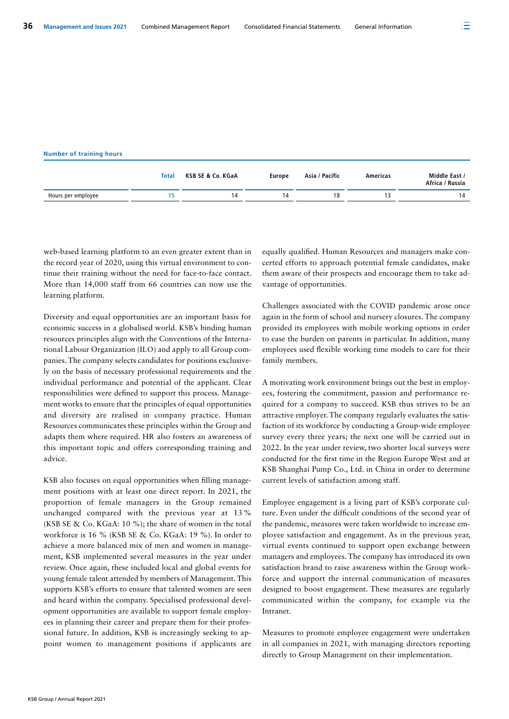|  | 36 Management and Issues 2021 | <b>Combined Management Report</b> | <b>Consolidated Financial Statements</b> | General Information |
|--|-------------------------------|-----------------------------------|------------------------------------------|---------------------|
|--|-------------------------------|-----------------------------------|------------------------------------------|---------------------|

#### **Number of training hours**

|                    | Total | KSB SE & Co. KGaA | <b>Europe</b> | Asia / Pacific | Americas | Middle East /<br>Africa / Russia |
|--------------------|-------|-------------------|---------------|----------------|----------|----------------------------------|
| Hours per employee |       | 14                | 14            | 18             |          | 14                               |

web-based learning platform to an even greater extent than in the record year of 2020, using this virtual environment to continue their training without the need for face-to-face contact. More than 14,000 staff from 66 countries can now use the learning platform.

Diversity and equal opportunities are an important basis for economic success in a globalised world. KSB's binding human resources principles align with the Conventions of the International Labour Organization (ILO) and apply to all Group companies. The company selects candidates for positions exclusively on the basis of necessary professional requirements and the individual performance and potential of the applicant. Clear responsibilities were defined to support this process. Management works to ensure that the principles of equal opportunities and diversity are realised in company practice. Human Resources communicates these principles within the Group and adapts them where required. HR also fosters an awareness of this important topic and offers corresponding training and advice.

KSB also focuses on equal opportunities when filling management positions with at least one direct report. In 2021, the proportion of female managers in the Group remained unchanged compared with the previous year at 13% (KSB SE & Co. KGaA: 10 %); the share of women in the total workforce is 16 % (KSB SE & Co. KGaA: 19 %). In order to achieve a more balanced mix of men and women in management, KSB implemented several measures in the year under review. Once again, these included local and global events for young female talent attended by members of Management. This supports KSB's efforts to ensure that talented women are seen and heard within the company. Specialised professional development opportunities are available to support female employees in planning their career and prepare them for their professional future. In addition, KSB is increasingly seeking to appoint women to management positions if applicants are

equally qualified. Human Resources and managers make concerted efforts to approach potential female candidates, make them aware of their prospects and encourage them to take advantage of opportunities.

Challenges associated with the COVID pandemic arose once again in the form of school and nursery closures. The company provided its employees with mobile working options in order to ease the burden on parents in particular. In addition, many employees used flexible working time models to care for their family members.

A motivating work environment brings out the best in employees, fostering the commitment, passion and performance required for a company to succeed. KSB thus strives to be an attractive employer. The company regularly evaluates the satisfaction of its workforce by conducting a Group-wide employee survey every three years; the next one will be carried out in 2022. In the year under review, two shorter local surveys were conducted for the first time in the Region Europe West and at KSB Shanghai Pump Co., Ltd. in China in order to determine current levels of satisfaction among staff.

Employee engagement is a living part of KSB's corporate culture. Even under the difficult conditions of the second year of the pandemic, measures were taken worldwide to increase employee satisfaction and engagement. As in the previous year, virtual events continued to support open exchange between managers and employees. The company has introduced its own satisfaction brand to raise awareness within the Group workforce and support the internal communication of measures designed to boost engagement. These measures are regularly communicated within the company, for example via the Intranet.

Measures to promote employee engagement were undertaken in all companies in 2021, with managing directors reporting directly to Group Management on their implementation.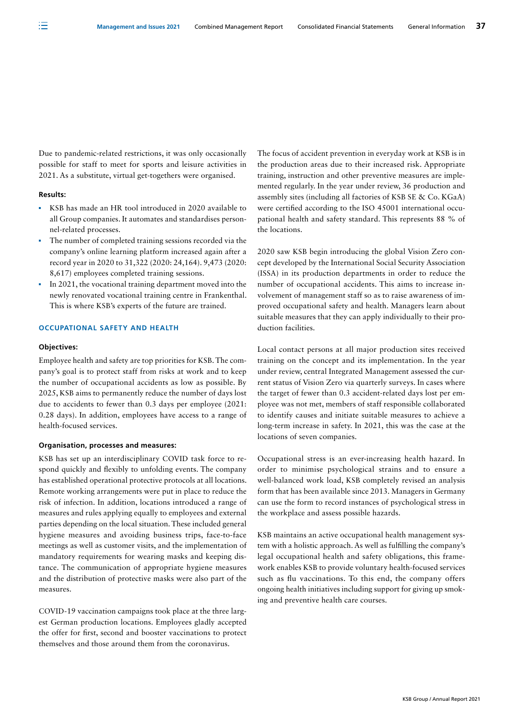Due to pandemic-related restrictions, it was only occasionally possible for staff to meet for sports and leisure activities in 2021. As a substitute, virtual get-togethers were organised.

#### **Results:**

注

- KSB has made an HR tool introduced in 2020 available to all Group companies. It automates and standardises personnel-related processes.
- The number of completed training sessions recorded via the company's online learning platform increased again after a record year in 2020 to 31,322 (2020: 24,164). 9,473 (2020: 8,617) employees completed training sessions.
- In 2021, the vocational training department moved into the newly renovated vocational training centre in Frankenthal. This is where KSB's experts of the future are trained.

#### **OCCUPATIONAL SAFETY AND HEALTH**

#### **Objectives:**

Employee health and safety are top priorities for KSB. The company's goal is to protect staff from risks at work and to keep the number of occupational accidents as low as possible. By 2025, KSB aims to permanently reduce the number of days lost due to accidents to fewer than 0.3 days per employee (2021: 0.28 days). In addition, employees have access to a range of health-focused services.

#### **Organisation, processes and measures:**

KSB has set up an interdisciplinary COVID task force to respond quickly and flexibly to unfolding events. The company has established operational protective protocols at all locations. Remote working arrangements were put in place to reduce the risk of infection. In addition, locations introduced a range of measures and rules applying equally to employees and external parties depending on the local situation. These included general hygiene measures and avoiding business trips, face-to-face meetings as well as customer visits, and the implementation of mandatory requirements for wearing masks and keeping distance. The communication of appropriate hygiene measures and the distribution of protective masks were also part of the measures.

COVID-19 vaccination campaigns took place at the three largest German production locations. Employees gladly accepted the offer for first, second and booster vaccinations to protect themselves and those around them from the coronavirus.

The focus of accident prevention in everyday work at KSB is in the production areas due to their increased risk. Appropriate training, instruction and other preventive measures are implemented regularly. In the year under review, 36 production and assembly sites (including all factories of KSB SE & Co. KGaA) were certified according to the ISO 45001 international occupational health and safety standard. This represents 88 % of the locations.

2020 saw KSB begin introducing the global Vision Zero concept developed by the International Social Security Association (ISSA) in its production departments in order to reduce the number of occupational accidents. This aims to increase involvement of management staff so as to raise awareness of improved occupational safety and health. Managers learn about suitable measures that they can apply individually to their production facilities.

Local contact persons at all major production sites received training on the concept and its implementation. In the year under review, central Integrated Management assessed the current status of Vision Zero via quarterly surveys. In cases where the target of fewer than 0.3 accident-related days lost per employee was not met, members of staff responsible collaborated to identify causes and initiate suitable measures to achieve a long-term increase in safety. In 2021, this was the case at the locations of seven companies.

Occupational stress is an ever-increasing health hazard. In order to minimise psychological strains and to ensure a well-balanced work load, KSB completely revised an analysis form that has been available since 2013. Managers in Germany can use the form to record instances of psychological stress in the workplace and assess possible hazards.

KSB maintains an active occupational health management system with a holistic approach. As well as fulfilling the company's legal occupational health and safety obligations, this framework enables KSB to provide voluntary health-focused services such as flu vaccinations. To this end, the company offers ongoing health initiatives including support for giving up smoking and preventive health care courses.

KSB Group / Annual Report 2021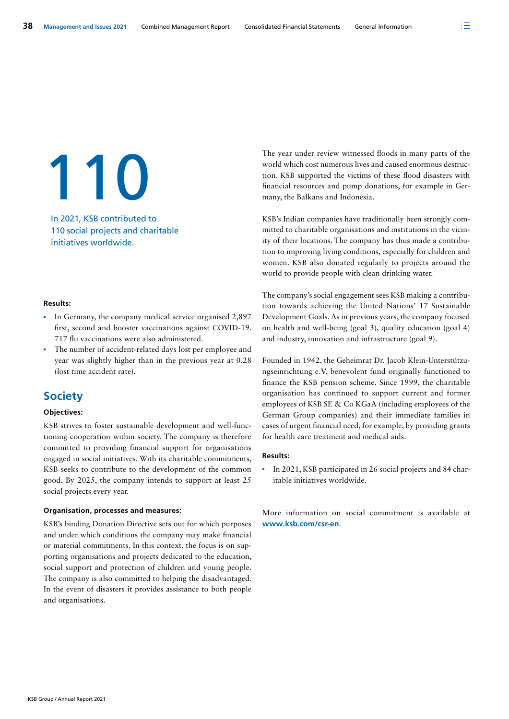110

In 2021, KSB contributed to 110 social projects and charitable initiatives worldwide.

#### **Results:**

- In Germany, the company medical service organised 2,897 first, second and booster vaccinations against COVID-19. 717 flu vaccinations were also administered.
- The number of accident-related days lost per employee and year was slightly higher than in the previous year at 0.28 (lost time accident rate).

## **Society**

#### **Objectives:**

KSB strives to foster sustainable development and well-functioning cooperation within society. The company is therefore committed to providing financial support for organisations engaged in social initiatives. With its charitable commitments, KSB seeks to contribute to the development of the common good. By 2025, the company intends to support at least 25 social projects every year.

#### **Organisation, processes and measures:**

KSB's binding Donation Directive sets out for which purposes and under which conditions the company may make financial or material commitments. In this context, the focus is on supporting organisations and projects dedicated to the education, social support and protection of children and young people. The company is also committed to helping the disadvantaged. In the event of disasters it provides assistance to both people and organisations.

The year under review witnessed floods in many parts of the world which cost numerous lives and caused enormous destruction. KSB supported the victims of these flood disasters with financial resources and pump donations, for example in Germany, the Balkans and Indonesia.

KSB's Indian companies have traditionally been strongly committed to charitable organisations and institutions in the vicinity of their locations. The company has thus made a contribution to improving living conditions, especially for children and women. KSB also donated regularly to projects around the world to provide people with clean drinking water.

The company's social engagement sees KSB making a contribution towards achieving the United Nations' 17 Sustainable Development Goals. As in previous years, the company focused on health and well-being (goal 3), quality education (goal 4) and industry, innovation and infrastructure (goal 9).

Founded in 1942, the Geheimrat Dr. Jacob Klein-Unterstützungseinrichtung e.V. benevolent fund originally functioned to finance the KSB pension scheme. Since 1999, the charitable organisation has continued to support current and former employees of KSB SE & Co KGaA (including employees of the German Group companies) and their immediate families in cases of urgent financial need, for example, by providing grants for health care treatment and medical aids.

#### **Results:**

In 2021, KSB participated in 26 social projects and 84 charitable initiatives worldwide.

More information on social commitment is available at **[www.ksb.com/csr-en](https://www.ksb.com/en-global/company/corporate-responsibility/social-commitment)**.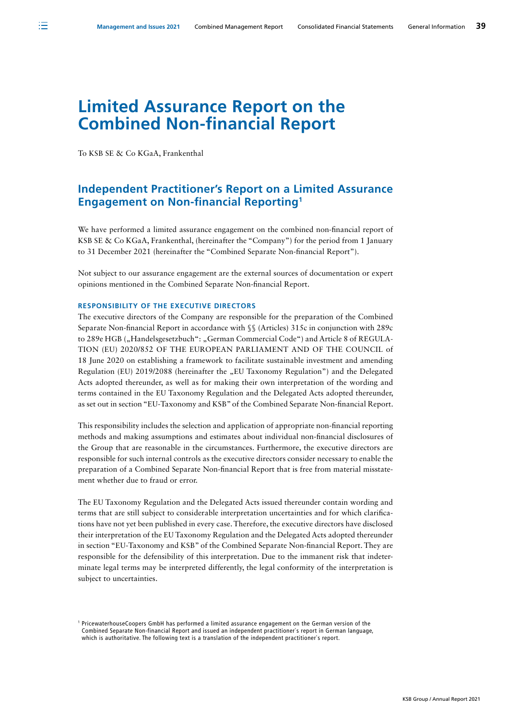注

# **Limited Assurance Report on the Combined Non-financial Report**

To KSB SE & Co KGaA, Frankenthal

# **Independent Practitioner's Report on a Limited Assurance Engagement on Non-financial Reporting1**

We have performed a limited assurance engagement on the combined non-financial report of KSB SE & Co KGaA, Frankenthal, (hereinafter the "Company") for the period from 1 January to 31 December 2021 (hereinafter the "Combined Separate Non-financial Report").

Not subject to our assurance engagement are the external sources of documentation or expert opinions mentioned in the Combined Separate Non-financial Report.

#### **RESPONSIBILITY OF THE EXECUTIVE DIRECTORS**

The executive directors of the Company are responsible for the preparation of the Combined Separate Non-financial Report in accordance with §§ (Articles) 315c in conjunction with 289c to 289e HGB ("Handelsgesetzbuch": "German Commercial Code") and Article 8 of REGULA-TION (EU) 2020/852 OF THE EUROPEAN PARLIAMENT AND OF THE COUNCIL of 18 June 2020 on establishing a framework to facilitate sustainable investment and amending Regulation (EU) 2019/2088 (hereinafter the "EU Taxonomy Regulation") and the Delegated Acts adopted thereunder, as well as for making their own interpretation of the wording and terms contained in the EU Taxonomy Regulation and the Delegated Acts adopted thereunder, as set out in section "EU-Taxonomy and KSB" of the Combined Separate Non-financial Report.

This responsibility includes the selection and application of appropriate non-financial reporting methods and making assumptions and estimates about individual non-financial disclosures of the Group that are reasonable in the circumstances. Furthermore, the executive directors are responsible for such internal controls as the executive directors consider necessary to enable the preparation of a Combined Separate Non-financial Report that is free from material misstatement whether due to fraud or error.

The EU Taxonomy Regulation and the Delegated Acts issued thereunder contain wording and terms that are still subject to considerable interpretation uncertainties and for which clarifications have not yet been published in every case. Therefore, the executive directors have disclosed their interpretation of the EU Taxonomy Regulation and the Delegated Acts adopted thereunder in section "EU-Taxonomy and KSB" of the Combined Separate Non-financial Report. They are responsible for the defensibility of this interpretation. Due to the immanent risk that indeterminate legal terms may be interpreted differently, the legal conformity of the interpretation is subject to uncertainties.

<sup>1</sup> PricewaterhouseCoopers GmbH has performed a limited assurance engagement on the German version of the Combined Separate Non-financial Report and issued an independent practitioner`s report in German language, which is authoritative. The following text is a translation of the independent practitioner`s report.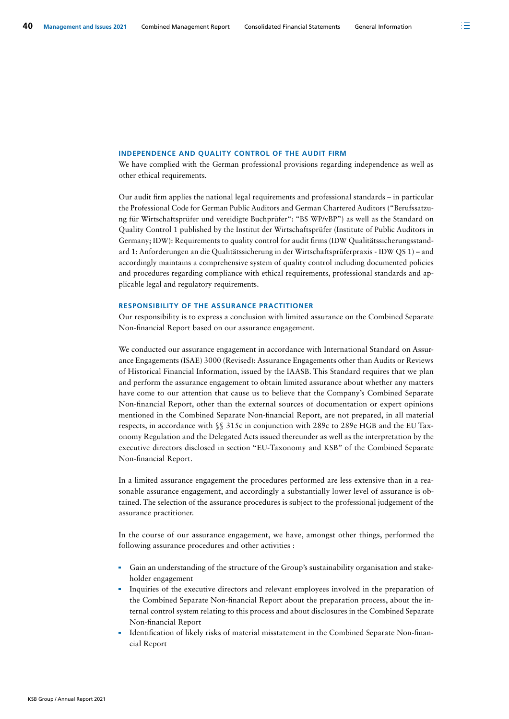#### **INDEPENDENCE AND QUALITY CONTROL OF THE AUDIT FIRM**

We have complied with the German professional provisions regarding independence as well as other ethical requirements.

Our audit firm applies the national legal requirements and professional standards – in particular the Professional Code for German Public Auditors and German Chartered Auditors ("Berufssatzung für Wirtschaftsprüfer und vereidigte Buchprüfer": "BS WP/vBP") as well as the Standard on Quality Control 1 published by the Institut der Wirtschaftsprüfer (Institute of Public Auditors in Germany; IDW): Requirements to quality control for audit firms (IDW Qualitätssicherungsstandard 1: Anforderungen an die Qualitätssicherung in der Wirtschaftsprüferpraxis - IDW QS 1) – and accordingly maintains a comprehensive system of quality control including documented policies and procedures regarding compliance with ethical requirements, professional standards and applicable legal and regulatory requirements.

#### **RESPONSIBILITY OF THE ASSURANCE PRACTITIONER**

Our responsibility is to express a conclusion with limited assurance on the Combined Separate Non-financial Report based on our assurance engagement.

We conducted our assurance engagement in accordance with International Standard on Assurance Engagements (ISAE) 3000 (Revised): Assurance Engagements other than Audits or Reviews of Historical Financial Information, issued by the IAASB. This Standard requires that we plan and perform the assurance engagement to obtain limited assurance about whether any matters have come to our attention that cause us to believe that the Company's Combined Separate Non-financial Report, other than the external sources of documentation or expert opinions mentioned in the Combined Separate Non-financial Report, are not prepared, in all material respects, in accordance with §§ 315c in conjunction with 289c to 289e HGB and the EU Taxonomy Regulation and the Delegated Acts issued thereunder as well as the interpretation by the executive directors disclosed in section "EU-Taxonomy and KSB" of the Combined Separate Non-financial Report.

In a limited assurance engagement the procedures performed are less extensive than in a reasonable assurance engagement, and accordingly a substantially lower level of assurance is obtained. The selection of the assurance procedures is subject to the professional judgement of the assurance practitioner.

In the course of our assurance engagement, we have, amongst other things, performed the following assurance procedures and other activities :

- Gain an understanding of the structure of the Group's sustainability organisation and stakeholder engagement
- Inquiries of the executive directors and relevant employees involved in the preparation of the Combined Separate Non-financial Report about the preparation process, about the internal control system relating to this process and about disclosures in the Combined Separate Non-financial Report
- Identification of likely risks of material misstatement in the Combined Separate Non-financial Report